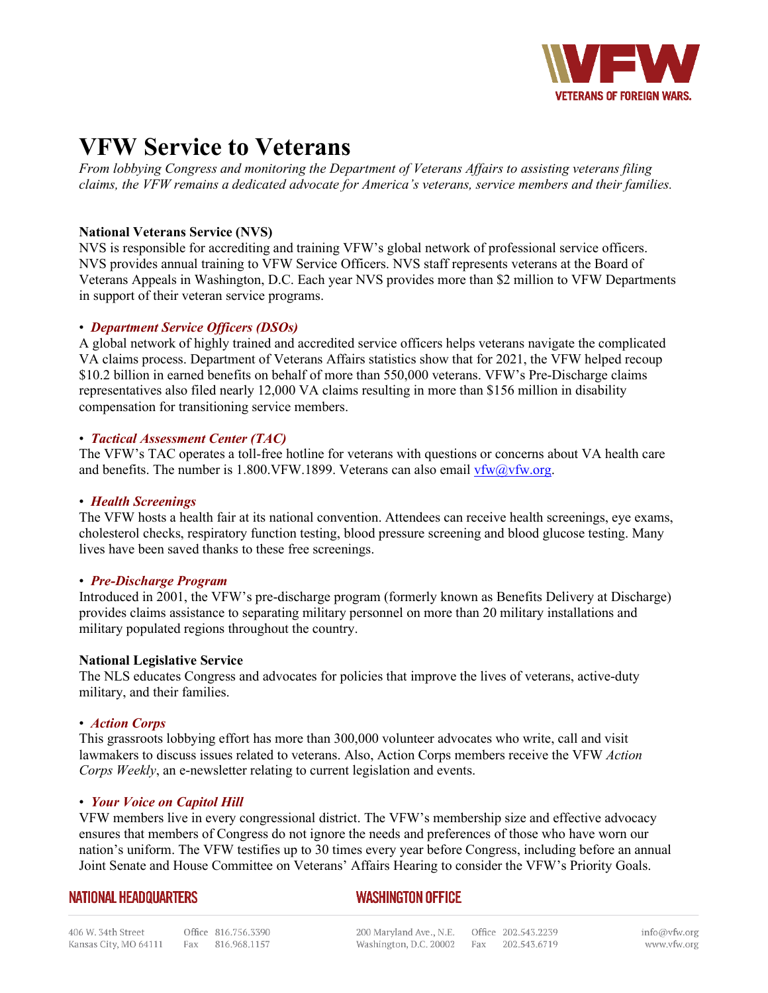

# **VFW Service to Veterans**

*From lobbying Congress and monitoring the Department of Veterans Affairs to assisting veterans filing claims, the VFW remains a dedicated advocate for America's veterans, service members and their families.* 

# **National Veterans Service (NVS)**

NVS is responsible for accrediting and training VFW's global network of professional service officers. NVS provides annual training to VFW Service Officers. NVS staff represents veterans at the Board of Veterans Appeals in Washington, D.C. Each year NVS provides more than \$2 million to VFW Departments in support of their veteran service programs.

## • *Department Service Officers (DSOs)*

A global network of highly trained and accredited service officers helps veterans navigate the complicated VA claims process. Department of Veterans Affairs statistics show that for 2021, the VFW helped recoup \$10.2 billion in earned benefits on behalf of more than 550,000 veterans. VFW's Pre-Discharge claims representatives also filed nearly 12,000 VA claims resulting in more than \$156 million in disability compensation for transitioning service members.

## • *Tactical Assessment Center (TAC)*

The VFW's TAC operates a toll-free hotline for veterans with questions or concerns about VA health care and benefits. The number is 1.800. VFW.1899. Veterans can also email  $vfw@vfw.org$ .

#### • *Health Screenings*

The VFW hosts a health fair at its national convention. Attendees can receive health screenings, eye exams, cholesterol checks, respiratory function testing, blood pressure screening and blood glucose testing. Many lives have been saved thanks to these free screenings.

#### • *Pre-Discharge Program*

Introduced in 2001, the VFW's pre-discharge program (formerly known as Benefits Delivery at Discharge) provides claims assistance to separating military personnel on more than 20 military installations and military populated regions throughout the country.

#### **National Legislative Service**

The NLS educates Congress and advocates for policies that improve the lives of veterans, active-duty military, and their families.

#### • *Action Corps*

This grassroots lobbying effort has more than 300,000 volunteer advocates who write, call and visit lawmakers to discuss issues related to veterans. Also, Action Corps members receive the VFW *Action Corps Weekly*, an e-newsletter relating to current legislation and events.

#### • *Your Voice on Capitol Hill*

VFW members live in every congressional district. The VFW's membership size and effective advocacy ensures that members of Congress do not ignore the needs and preferences of those who have worn our nation's uniform. The VFW testifies up to 30 times every year before Congress, including before an annual Joint Senate and House Committee on Veterans' Affairs Hearing to consider the VFW's Priority Goals.

# **NATIONAL HEADQUARTERS**

# **WASHINGTON OFFICE**

200 Maryland Ave., N.E. Office 202.543.2239 Washington, D.C. 20002 Fax 202.543.6719